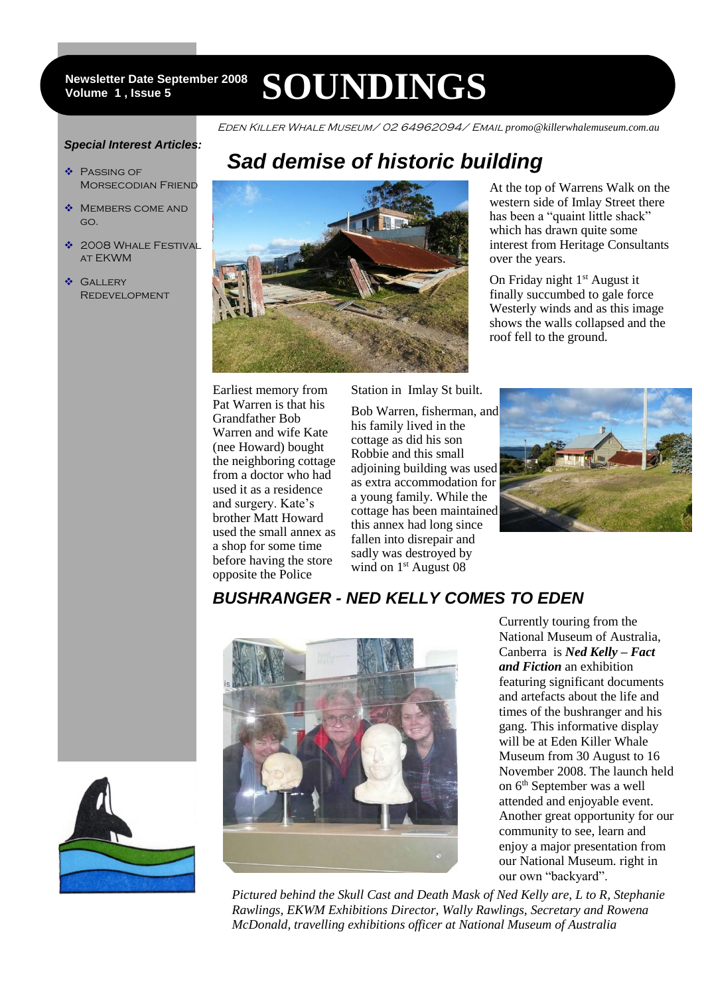**Newsletter Date September 2008 Volume 1 , Issue 5**

# **SOUNDINGS**

Eden Killer Whale Museum/ 02 64962094/ Email *promo@killerwhalemuseum.com.au*

#### *Special Interest Articles:*

- ◆ PASSING OF Morsecodian Friend
- **MEMBERS COME AND** go.
- ◆ 2008 WHALE FESTIVAL at EKWM
- **❖** GALLERY **REDEVELOPMENT**

## *Sad demise of historic building*



Earliest memory from Pat Warren is that his Grandfather Bob Warren and wife Kate (nee Howard) bought the neighboring cottage from a doctor who had used it as a residence and surgery. Kate's brother Matt Howard used the small annex as a shop for some time before having the store opposite the Police

Station in Imlay St built.

Bob Warren, fisherman, and his family lived in the cottage as did his son Robbie and this small adjoining building was used as extra accommodation for a young family. While the cottage has been maintained this annex had long since fallen into disrepair and sadly was destroyed by wind on 1<sup>st</sup> August 08

At the top of Warrens Walk on the western side of Imlay Street there has been a "quaint little shack" which has drawn quite some interest from Heritage Consultants over the years.

On Friday night 1<sup>st</sup> August it finally succumbed to gale force Westerly winds and as this image shows the walls collapsed and the roof fell to the ground.



### *BUSHRANGER - NED KELLY COMES TO EDEN*



Currently touring from the National Museum of Australia, Canberra is *Ned Kelly – Fact and Fiction* an exhibition featuring significant documents and artefacts about the life and times of the bushranger and his gang. This informative display will be at Eden Killer Whale Museum from 30 August to 16 November 2008. The launch held on 6th September was a well attended and enjoyable event. Another great opportunity for our community to see, learn and enjoy a major presentation from our National Museum. right in our own "backyard".



*Pictured behind the Skull Cast and Death Mask of Ned Kelly are, L to R, Stephanie Rawlings, EKWM Exhibitions Director, Wally Rawlings, Secretary and Rowena McDonald, travelling exhibitions officer at National Museum of Australia*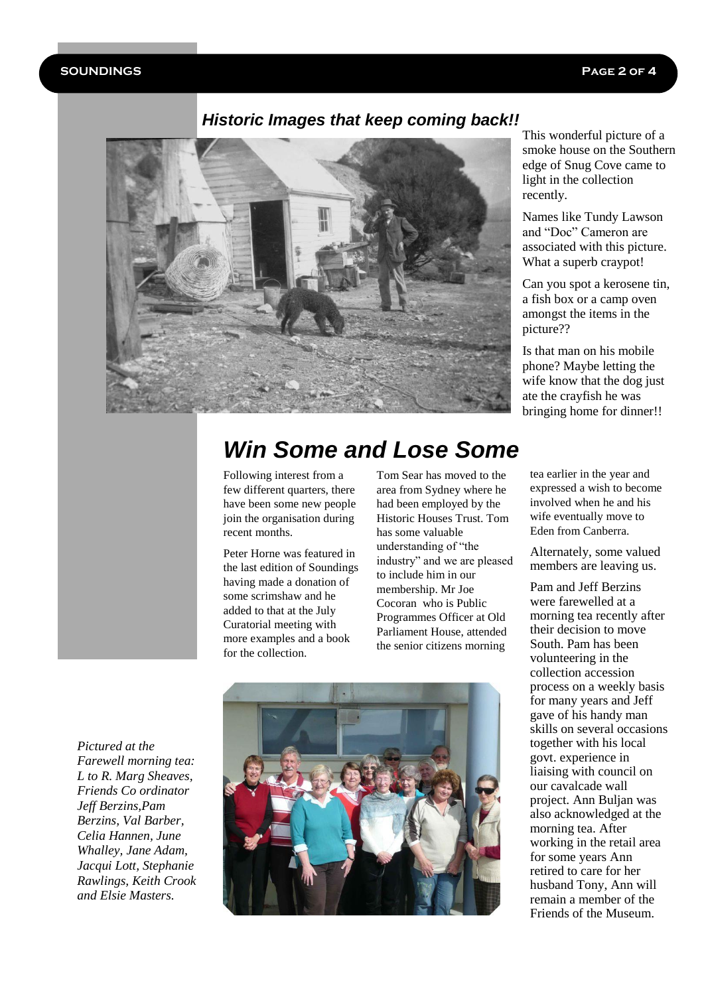#### *Historic Images that keep coming back!!*



This wonderful picture of a smoke house on the Southern edge of Snug Cove came to light in the collection recently.

Names like Tundy Lawson and "Doc" Cameron are associated with this picture. What a superb craypot!

Can you spot a kerosene tin, a fish box or a camp oven amongst the items in the picture??

Is that man on his mobile phone? Maybe letting the wife know that the dog just ate the crayfish he was bringing home for dinner!!

# *Win Some and Lose Some*

Following interest from a few different quarters, there have been some new people join the organisation during recent months.

Peter Horne was featured in the last edition of Soundings having made a donation of some scrimshaw and he added to that at the July Curatorial meeting with more examples and a book for the collection.

Tom Sear has moved to the area from Sydney where he had been employed by the Historic Houses Trust. Tom has some valuable understanding of "the industry" and we are pleased to include him in our membership. Mr Joe Cocoran who is Public Programmes Officer at Old Parliament House, attended the senior citizens morning

tea earlier in the year and expressed a wish to become involved when he and his wife eventually move to Eden from Canberra.

Alternately, some valued members are leaving us.

Pam and Jeff Berzins were farewelled at a morning tea recently after their decision to move South. Pam has been volunteering in the collection accession process on a weekly basis for many years and Jeff gave of his handy man skills on several occasions together with his local govt. experience in liaising with council on our cavalcade wall project. Ann Buljan was also acknowledged at the morning tea. After working in the retail area for some years Ann retired to care for her husband Tony, Ann will remain a member of the Friends of the Museum.

*Pictured at the Farewell morning tea: L to R. Marg Sheaves, Friends Co ordinator Jeff Berzins,Pam Berzins, Val Barber, Celia Hannen, June Whalley, Jane Adam, Jacqui Lott, Stephanie Rawlings, Keith Crook and Elsie Masters.*

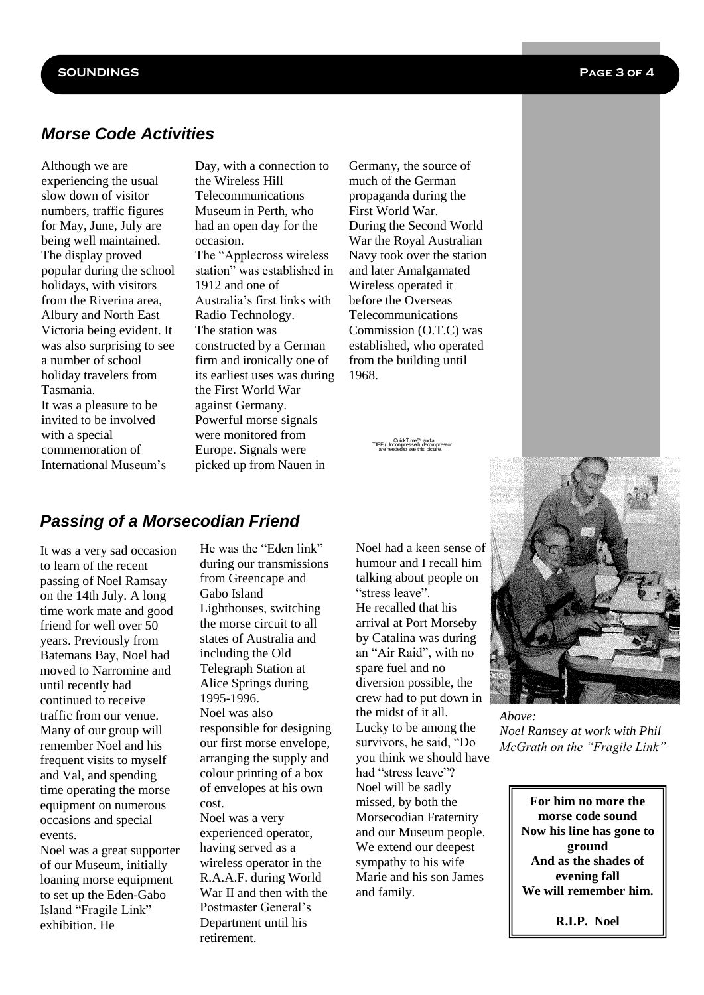#### **SOUNDINGS Page 3 of 4**

#### *Morse Code Activities*

Although we are experiencing the usual slow down of visitor numbers, traffic figures for May, June, July are being well maintained. The display proved popular during the school holidays, with visitors from the Riverina area, Albury and North East Victoria being evident. It was also surprising to see a number of school holiday travelers from Tasmania. It was a pleasure to be invited to be involved with a special commemoration of International Museum's

Day, with a connection to the Wireless Hill Telecommunications Museum in Perth, who had an open day for the occasion. The "Applecross wireless station" was established in 1912 and one of Australia's first links with Radio Technology. The station was constructed by a German firm and ironically one of its earliest uses was during the First World War against Germany. Powerful morse signals were monitored from Europe. Signals were picked up from Nauen in

Germany, the source of much of the German propaganda during the First World War. During the Second World War the Royal Australian Navy took over the station and later Amalgamated Wireless operated it before the Overseas Telecommunications Commission (O.T.C) was established, who operated from the building until 1968.

QuickTime™ and a TIFF (Uncompressed) decompressor are needed to see this picture.

#### *Passing of a Morsecodian Friend*

It was a very sad occasion to learn of the recent passing of Noel Ramsay on the 14th July. A long time work mate and good friend for well over 50 years. Previously from Batemans Bay, Noel had moved to Narromine and until recently had continued to receive traffic from our venue. Many of our group will remember Noel and his frequent visits to myself and Val, and spending time operating the morse equipment on numerous occasions and special events.

Noel was a great supporter of our Museum, initially loaning morse equipment to set up the Eden-Gabo Island "Fragile Link" exhibition. He

He was the "Eden link" during our transmissions from Greencape and Gabo Island Lighthouses, switching the morse circuit to all states of Australia and including the Old Telegraph Station at Alice Springs during 1995-1996. Noel was also responsible for designing our first morse envelope, arranging the supply and colour printing of a box of envelopes at his own cost. Noel was a very experienced operator, having served as a wireless operator in the R.A.A.F. during World War II and then with the Postmaster General's

Department until his

retirement.

Noel had a keen sense of humour and I recall him talking about people on "stress leave". He recalled that his arrival at Port Morseby by Catalina was during an "Air Raid", with no spare fuel and no diversion possible, the crew had to put down in the midst of it all. Lucky to be among the survivors, he said, "Do you think we should have had "stress leave"? Noel will be sadly missed, by both the Morsecodian Fraternity and our Museum people. We extend our deepest sympathy to his wife Marie and his son James and family.



*Above: Noel Ramsey at work with Phil McGrath on the "Fragile Link"*

**For him no more the morse code sound Now his line has gone to ground And as the shades of evening fall We will remember him.**

**R.I.P. Noel**